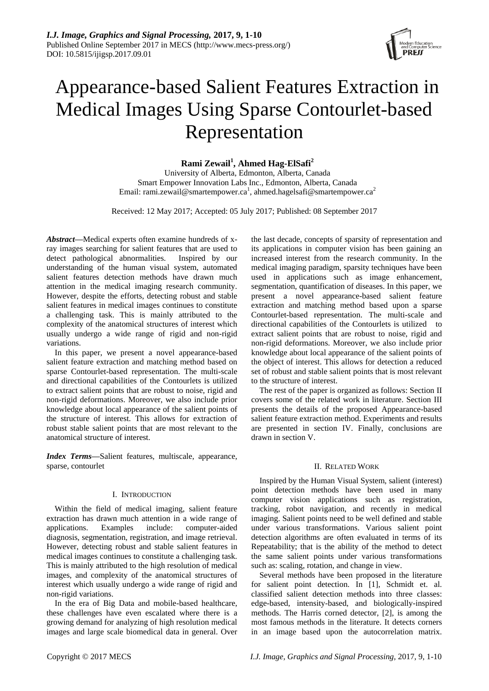

# Appearance-based Salient Features Extraction in Medical Images Using Sparse Contourlet-based Representation

## **Rami Zewail<sup>1</sup> , Ahmed Hag-ElSafi<sup>2</sup>**

University of Alberta, Edmonton, Alberta, Canada Smart Empower Innovation Labs Inc., Edmonton, Alberta, Canada Email: rami.zewail@smartempower.ca<sup>1</sup>, ahmed.hagelsafi@smartempower.ca<sup>2</sup>

Received: 12 May 2017; Accepted: 05 July 2017; Published: 08 September 2017

*Abstract—*Medical experts often examine hundreds of xray images searching for salient features that are used to detect pathological abnormalities. Inspired by our understanding of the human visual system, automated salient features detection methods have drawn much attention in the medical imaging research community. However, despite the efforts, detecting robust and stable salient features in medical images continues to constitute a challenging task. This is mainly attributed to the complexity of the anatomical structures of interest which usually undergo a wide range of rigid and non-rigid variations.

In this paper, we present a novel appearance-based salient feature extraction and matching method based on sparse Contourlet-based representation. The multi-scale and directional capabilities of the Contourlets is utilized to extract salient points that are robust to noise, rigid and non-rigid deformations. Moreover, we also include prior knowledge about local appearance of the salient points of the structure of interest. This allows for extraction of robust stable salient points that are most relevant to the anatomical structure of interest.

*Index Terms—*Salient features, multiscale, appearance, sparse, contourlet

## I. INTRODUCTION

Within the field of medical imaging, salient feature extraction has drawn much attention in a wide range of applications. Examples include: computer-aided diagnosis, segmentation, registration, and image retrieval. However, detecting robust and stable salient features in medical images continues to constitute a challenging task. This is mainly attributed to the high resolution of medical images, and complexity of the anatomical structures of interest which usually undergo a wide range of rigid and non-rigid variations.

In the era of Big Data and mobile-based healthcare, these challenges have even escalated where there is a growing demand for analyzing of high resolution medical images and large scale biomedical data in general. Over the last decade, concepts of sparsity of representation and its applications in computer vision has been gaining an increased interest from the research community. In the medical imaging paradigm, sparsity techniques have been used in applications such as image enhancement, segmentation, quantification of diseases. In this paper, we present a novel appearance-based salient feature extraction and matching method based upon a sparse Contourlet-based representation. The multi-scale and directional capabilities of the Contourlets is utilized to extract salient points that are robust to noise, rigid and non-rigid deformations. Moreover, we also include prior knowledge about local appearance of the salient points of the object of interest. This allows for detection a reduced set of robust and stable salient points that is most relevant to the structure of interest.

The rest of the paper is organized as follows: Section II covers some of the related work in literature. Section III presents the details of the proposed Appearance-based salient feature extraction method. Experiments and results are presented in section IV. Finally, conclusions are drawn in section V.

#### II. RELATED WORK

Inspired by the Human Visual System, salient (interest) point detection methods have been used in many computer vision applications such as registration, tracking, robot navigation, and recently in medical imaging. Salient points need to be well defined and stable under various transformations. Various salient point detection algorithms are often evaluated in terms of its Repeatability; that is the ability of the method to detect the same salient points under various transformations such as: scaling, rotation, and change in view.

Several methods have been proposed in the literature for salient point detection. In [1], Schmidt et. al. classified salient detection methods into three classes: edge-based, intensity-based, and biologically-inspired methods. The Harris corned detector, [2], is among the most famous methods in the literature. It detects corners in an image based upon the autocorrelation matrix.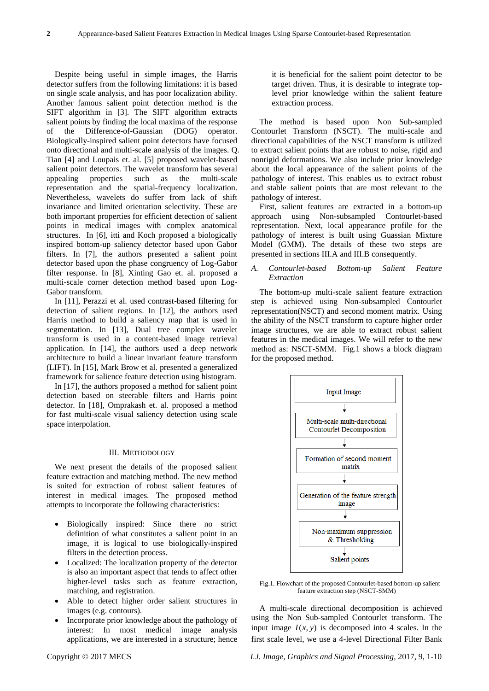Despite being useful in simple images, the Harris detector suffers from the following limitations: it is based on single scale analysis, and has poor localization ability. Another famous salient point detection method is the SIFT algorithm in [3]. The SIFT algorithm extracts salient points by finding the local maxima of the response of the Difference-of-Gaussian (DOG) operator. Biologically-inspired salient point detectors have focused onto directional and multi-scale analysis of the images. Q. Tian [4] and Loupais et. al. [5] proposed wavelet-based salient point detectors. The wavelet transform has several appealing properties such as the multi-scale representation and the spatial-frequency localization. Nevertheless, wavelets do suffer from lack of shift invariance and limited orientation selectivity. These are both important properties for efficient detection of salient points in medical images with complex anatomical structures. In [6], itti and Koch proposed a biologically inspired bottom-up saliency detector based upon Gabor filters. In [7], the authors presented a salient point detector based upon the phase congruency of Log-Gabor filter response. In [8], Xinting Gao et. al. proposed a multi-scale corner detection method based upon Log-Gabor transform.

In [11], Perazzi et al. used contrast-based filtering for detection of salient regions. In [12], the authors used Harris method to build a saliency map that is used in segmentation. In [13], Dual tree complex wavelet transform is used in a content-based image retrieval application. In [14], the authors used a deep network architecture to build a linear invariant feature transform (LIFT). In [15], Mark Brow et al. presented a generalized framework for salience feature detection using histogram.

In [17], the authors proposed a method for salient point detection based on steerable filters and Harris point detector. In [18], Omprakash et. al. proposed a method for fast multi-scale visual saliency detection using scale space interpolation.

#### III. METHODOLOGY

We next present the details of the proposed salient feature extraction and matching method. The new method is suited for extraction of robust salient features of interest in medical images. The proposed method attempts to incorporate the following characteristics:

- Biologically inspired: Since there no strict definition of what constitutes a salient point in an image, it is logical to use biologically-inspired filters in the detection process.
- Localized: The localization property of the detector is also an important aspect that tends to affect other higher-level tasks such as feature extraction, matching, and registration.
- Able to detect higher order salient structures in images (e.g. contours).
- Incorporate prior knowledge about the pathology of interest: In most medical image analysis applications, we are interested in a structure; hence

it is beneficial for the salient point detector to be target driven. Thus, it is desirable to integrate toplevel prior knowledge within the salient feature extraction process.

The method is based upon Non Sub-sampled Contourlet Transform (NSCT). The multi-scale and directional capabilities of the NSCT transform is utilized to extract salient points that are robust to noise, rigid and nonrigid deformations. We also include prior knowledge about the local appearance of the salient points of the pathology of interest. This enables us to extract robust and stable salient points that are most relevant to the pathology of interest.

First, salient features are extracted in a bottom-up approach using Non-subsampled Contourlet-based representation. Next, local appearance profile for the pathology of interest is built using Guassian Mixture Model (GMM). The details of these two steps are presented in sections III.A and III.B consequently.

## *A. Contourlet-based Bottom-up Salient Feature Extraction*

The bottom-up multi-scale salient feature extraction step is achieved using Non-subsampled Contourlet representation(NSCT) and second moment matrix. Using the ability of the NSCT transform to capture higher order image structures, we are able to extract robust salient features in the medical images. We will refer to the new method as: NSCT-SMM. Fig.1 shows a block diagram for the proposed method.



Fig.1. Flowchart of the proposed Contourlet-based bottom-up salient feature extraction step (NSCT-SMM)

A multi-scale directional decomposition is achieved using the Non Sub-sampled Contourlet transform. The input image  $I(x, y)$  is decomposed into 4 scales. In the first scale level, we use a 4-level Directional Filter Bank

Copyright © 2017 MECS *I.J. Image, Graphics and Signal Processing,* 2017, 9, 1-10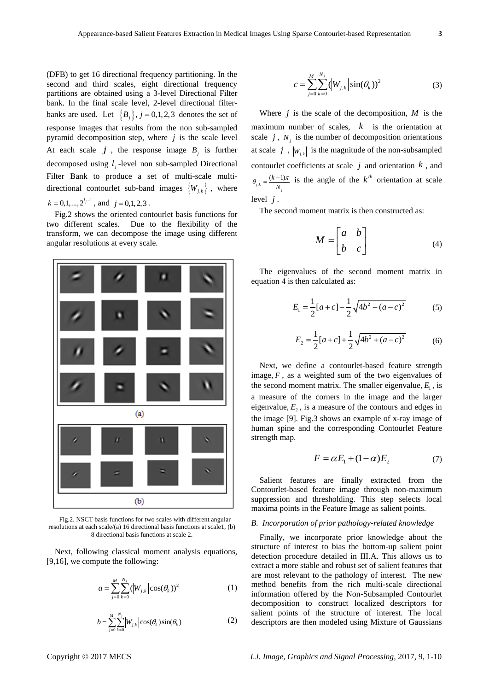(DFB) to get 16 directional frequency partitioning. In the second and third scales, eight directional frequency partitions are obtained using a 3-level Directional Filter bank. In the final scale level, 2-level directional filterbanks are used. Let  $\{B_j\}, j = 0, 1, 2, 3$  denotes the set of response images that results from the non sub-sampled pyramid decomposition step, where *j* is the scale level At each scale  $j$ , the response image  $B_j$  is further decomposed using  $l_j$ -level non sub-sampled Directional Filter Bank to produce a set of multi-scale multidirectional contourlet sub-band images  $\{W_{j,k}\}\,$ , where  $k = 0, 1, \ldots, 2^{l_j - 1}$ , and  $j = 0, 1, 2, 3$ .

Fig.2 shows the oriented contourlet basis functions for two different scales. Due to the flexibility of the transform, we can decompose the image using different angular resolutions at every scale.



Fig.2. NSCT basis functions for two scales with different angular resolutions at each scale/(a) 16 directional basis functions at scale1, (b) 8 directional basis functions at scale 2.

Next, following classical moment analysis equations, [9,16], we compute the following:

$$
a = \sum_{j=0}^{M} \sum_{k=0}^{N_j} (|W_{j,k}| \cos(\theta_k))^2
$$
 (1)

$$
b = \sum_{j=0}^{M} \sum_{k=0}^{N_j} \left| W_{j,k} \right| \cos(\theta_k) \sin(\theta_k)
$$
 (2)

$$
c = \sum_{j=0}^{M} \sum_{k=0}^{N_j} (|W_{j,k}| \sin(\theta_k))^2
$$
 (3)

Where  $j$  is the scale of the decomposition,  $M$  is the maximum number of scales, *k* is the orientation at scale  $j$ ,  $N_j$  is the number of decomposition orientations at scale  $j$ ,  $|W_{j,k}|$  is the magnitude of the non-subsampled contourlet coefficients at scale  $j$  and orientation  $k$ , and  $j_{j,k} = \frac{(k-1)}{N_j}$ *k N*  $\theta_{ik} = \frac{(k-1)\pi}{k}$  is the angle of the  $k^{th}$  orientation at scale level *j* .

The second moment matrix is then constructed as:

$$
M = \begin{bmatrix} a & b \\ b & c \end{bmatrix}
$$
 (4)

The eigenvalues of the second moment matrix in equation 4 is then calculated as:

$$
E_1 = \frac{1}{2} [a + c] - \frac{1}{2} \sqrt{4b^2 + (a - c)^2}
$$
 (5)

$$
E_2 = \frac{1}{2}[a+c] + \frac{1}{2}\sqrt{4b^2 + (a-c)^2}
$$
 (6)

Next, we define a contourlet-based feature strength image,  $F$ , as a weighted sum of the two eigenvalues of the second moment matrix. The smaller eigenvalue,  $E<sub>1</sub>$ , is a measure of the corners in the image and the larger eigenvalue,  $E<sub>2</sub>$ , is a measure of the contours and edges in the image [9]. Fig.3 shows an example of x-ray image of human spine and the corresponding Contourlet Feature strength map.

$$
F = \alpha E_1 + (1 - \alpha)E_2 \tag{7}
$$

Salient features are finally extracted from the Contourlet-based feature image through non-maximum suppression and thresholding. This step selects local maxima points in the Feature Image as salient points.

## *B. Incorporation of prior pathology-related knowledge*

Finally, we incorporate prior knowledge about the structure of interest to bias the bottom-up salient point detection procedure detailed in III.A. This allows us to extract a more stable and robust set of salient features that are most relevant to the pathology of interest. The new method benefits from the rich multi-scale directional information offered by the Non-Subsampled Contourlet decomposition to construct localized descriptors for salient points of the structure of interest. The local descriptors are then modeled using Mixture of Gaussians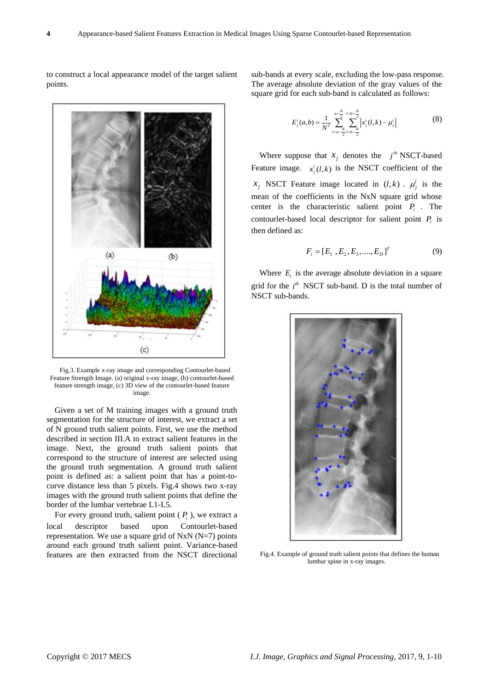

to construct a local appearance model of the target salient points.

Fig.3. Example x-ray image and corresponding Contourlet-based Feature Strength Image. (a) original x-ray image, (b) contourlet-based feature strength image, (c) 3D view of the contourlet-based feature image.

Given a set of M training images with a ground truth segmentation for the structure of interest, we extract a set of N ground truth salient points. First, we use the method described in section III.A to extract salient features in the image. Next, the ground truth salient points that correspond to the structure of interest are selected using the ground truth segmentation. A ground truth salient point is defined as: a salient point that has a point-tocurve distance less than 5 pixels. Fig.4 shows two x-ray images with the ground truth salient points that define the border of the lumbar vertebrae L1-L5.

For every ground truth, salient point  $(P_i)$ , we extract a local descriptor based upon Contourlet-based representation. We use a square grid of NxN  $(N=7)$  points around each ground truth salient point. Variance-based features are then extracted from the NSCT directional

sub-bands at every scale, excluding the low-pass response. The average absolute deviation of the gray values of the square grid for each sub-band is calculated as follows:

$$
E_j^i(a,b) = \frac{1}{N^2} \sum_{l=a-\frac{N}{2}}^{a+\frac{N}{2}} \sum_{l=b-\frac{N}{2}}^{l=b+\frac{N}{2}} \left| x_j^i(l,k) - \mu_j^i \right|
$$
 (8)

Where suppose that  $x_j$  denotes the  $j^{th}$  NSCT-based Feature image.  $x_j^i(l,k)$  is the NSCT coefficient of the  $x_j$  NSCT Feature image located in  $(l, k)$ .  $\mu_j^i$  is the mean of the coefficients in the NxN square grid whose center is the characteristic salient point  $P_i$ . The contourlet-based local descriptor for salient point  $P_i$  is then defined as:

$$
F_i = [E_1, E_2, E_3, \dots, E_D]^T
$$
 (9)

Where  $E_i$  is the average absolute deviation in a square grid for the  $i^{th}$  NSCT sub-band. D is the total number of NSCT sub-bands.



Fig.4. Example of ground truth salient points that defines the human lumbar spine in x-ray images.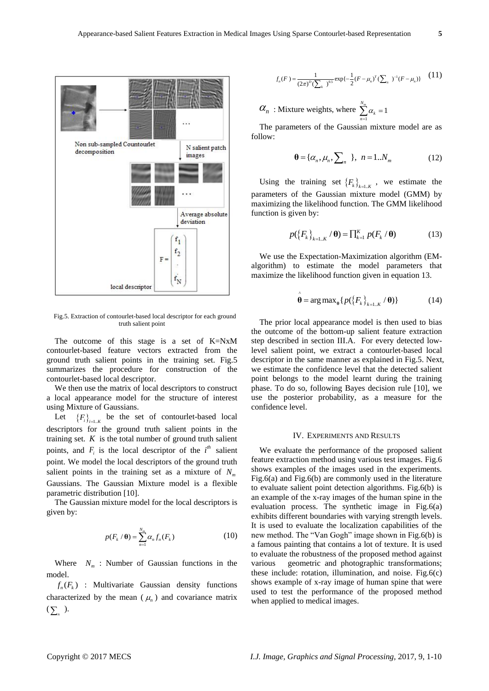

Fig.5. Extraction of contourlet-based local descriptor for each ground truth salient point

The outcome of this stage is a set of K=NxM contourlet-based feature vectors extracted from the ground truth salient points in the training set. Fig.5 summarizes the procedure for construction of the contourlet-based local descriptor.

We then use the matrix of local descriptors to construct a local appearance model for the structure of interest using Mixture of Gaussians.

Let  ${F_i}_{i=1...K}$  be the set of contourlet-based local descriptors for the ground truth salient points in the training set.  $K$  is the total number of ground truth salient points, and  $F_i$  is the local descriptor of the  $i^{th}$  salient point. We model the local descriptors of the ground truth salient points in the training set as a mixture of *Nm* Gaussians. The Gaussian Mixture model is a flexible parametric distribution [10].

The Gaussian mixture model for the local descriptors is given by:

$$
p(F_k / \mathbf{\theta}) = \sum_{n=1}^{N_m} \alpha_n f_n(F_k)
$$
 (10)

Where  $N_m$ : Number of Gaussian functions in the model.

 $f_n(F_k)$  : Multivariate Gaussian density functions characterized by the mean  $(\mu_n)$  and covariance matrix  $(\sum_{n}$  ).

$$
f_n(F) = \frac{1}{(2\pi)^D (\sum_k)^{0.5}} \exp\{-\frac{1}{2}(F - \mu_n)^T (\sum_n)^{-1} (F - \mu_n)\} \tag{11}
$$

 $\alpha_n$ : Mixture weights, where 1  $\sum_{k=1}^{N_m} \alpha_k = 1$  $\sum_{n=1}^{\infty} \alpha_k$  $\alpha$  $\sum_{n=1}^{\infty} \alpha_k = 1$ 

The parameters of the Gaussian mixture model are as follow:

$$
\mathbf{\theta} = {\alpha_n, \mu_n, \sum_n} \quad , \quad n = 1..N_m \tag{12}
$$

Using the training set  ${F_k}_{k=1..K}$ , we estimate the parameters of the Gaussian mixture model (GMM) by maximizing the likelihood function. The GMM likelihood function is given by:

$$
p(\left\{F_k\right\}_{k=1..K}/\theta) = \prod_{k=1}^{K} p(F_k/\theta)
$$
 (13)

We use the Expectation-Maximization algorithm (EMalgorithm) to estimate the model parameters that maximize the likelihood function given in equation 13.

$$
\hat{\boldsymbol{\theta}} = \arg \max_{\boldsymbol{\theta}} \{ p(\{F_k\}_{k=1..K} / \boldsymbol{\theta}) \}
$$
(14)

The prior local appearance model is then used to bias the outcome of the bottom-up salient feature extraction step described in section III.A. For every detected lowlevel salient point, we extract a contourlet-based local descriptor in the same manner as explained in Fig.5. Next, we estimate the confidence level that the detected salient point belongs to the model learnt during the training phase. To do so, following Bayes decision rule [10], we use the posterior probability, as a measure for the confidence level.

## IV. EXPERIMENTS AND RESULTS

We evaluate the performance of the proposed salient feature extraction method using various test images. Fig.6 shows examples of the images used in the experiments. Fig.6(a) and Fig.6(b) are commonly used in the literature to evaluate salient point detection algorithms. Fig.6(b) is an example of the x-ray images of the human spine in the evaluation process. The synthetic image in Fig.6(a) exhibits different boundaries with varying strength levels. It is used to evaluate the localization capabilities of the new method. The "Van Gogh" image shown in Fig.6(b) is a famous painting that contains a lot of texture. It is used to evaluate the robustness of the proposed method against various geometric and photographic transformations; these include: rotation, illumination, and noise. Fig.6 $(c)$ shows example of x-ray image of human spine that were used to test the performance of the proposed method when applied to medical images.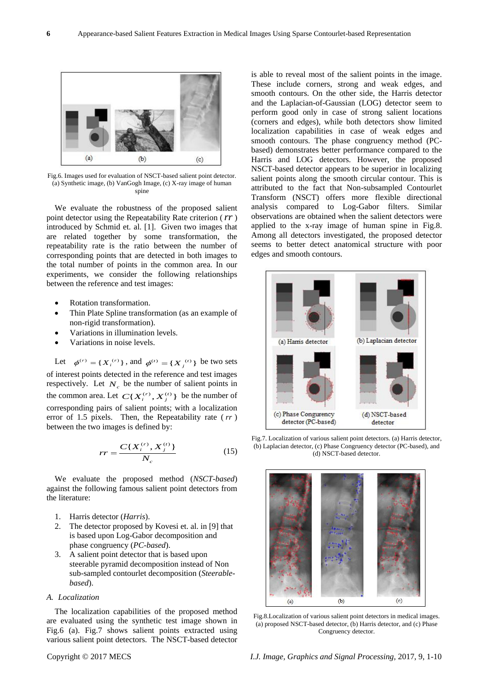

Fig.6. Images used for evaluation of NSCT-based salient point detector. (a) Synthetic image, (b) VanGogh Image, (c) X-ray image of human spine

We evaluate the robustness of the proposed salient point detector using the Repeatability Rate criterion ( *rr* ) introduced by Schmid et. al. [1]. Given two images that are related together by some transformation, the repeatability rate is the ratio between the number of corresponding points that are detected in both images to the total number of points in the common area. In our experiments, we consider the following relationships between the reference and test images:

- Rotation transformation.
- Thin Plate Spline transformation (as an example of non-rigid transformation).
- Variations in illumination levels.
- Variations in noise levels.

Let  $\phi^{(r)} = \{X_i^{(r)}\}\$ , and  $\phi^{(r)} = \{X_j^{(r)}\}\$  be two sets of interest points detected in the reference and test images respectively. Let  $N_c$  be the number of salient points in the common area. Let  $C\{X_i^{(r)}, X_j^{(t)}\}$  be the number of corresponding pairs of salient points; with a localization error of 1.5 pixels. Then, the Repeatability rate ( *rr* ) between the two images is defined by:

$$
rr = \frac{C\{X_i^{(r)}, X_j^{(t)}\}}{N_c} \tag{15}
$$

We evaluate the proposed method (*NSCT-based*) against the following famous salient point detectors from the literature:

- 1. Harris detector (*Harris*).
- 2. The detector proposed by Kovesi et. al. in [9] that is based upon Log-Gabor decomposition and phase congruency (*PC-based*).
- 3. A salient point detector that is based upon steerable pyramid decomposition instead of Non sub-sampled contourlet decomposition (*Steerablebased*).

## *A. Localization*

The localization capabilities of the proposed method are evaluated using the synthetic test image shown in Fig.6 (a). Fig.7 shows salient points extracted using various salient point detectors. The NSCT-based detector is able to reveal most of the salient points in the image. These include corners, strong and weak edges, and smooth contours. On the other side, the Harris detector and the Laplacian-of-Gaussian (LOG) detector seem to perform good only in case of strong salient locations (corners and edges), while both detectors show limited localization capabilities in case of weak edges and smooth contours. The phase congruency method (PCbased) demonstrates better performance compared to the Harris and LOG detectors. However, the proposed NSCT-based detector appears to be superior in localizing salient points along the smooth circular contour. This is attributed to the fact that Non-subsampled Contourlet Transform (NSCT) offers more flexible directional analysis compared to Log-Gabor filters. Similar observations are obtained when the salient detectors were applied to the x-ray image of human spine in Fig.8. Among all detectors investigated, the proposed detector seems to better detect anatomical structure with poor edges and smooth contours.



Fig.7. Localization of various salient point detectors. (a) Harris detector, (b) Laplacian detector, (c) Phase Congruency detector (PC-based), and (d) NSCT-based detector.



Fig.8.Localization of various salient point detectors in medical images. (a) proposed NSCT-based detector, (b) Harris detector, and (c) Phase Congruency detector.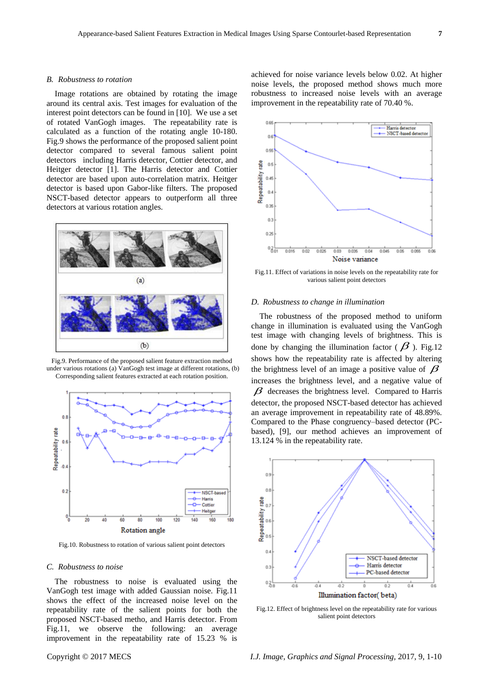#### *B. Robustness to rotation*

Image rotations are obtained by rotating the image around its central axis. Test images for evaluation of the interest point detectors can be found in [10]. We use a set of rotated VanGogh images. The repeatability rate is calculated as a function of the rotating angle 10-180. Fig.9 shows the performance of the proposed salient point detector compared to several famous salient point detectors including Harris detector, Cottier detector, and Heitger detector [1]. The Harris detector and Cottier detector are based upon auto-correlation matrix. Heitger detector is based upon Gabor-like filters. The proposed NSCT-based detector appears to outperform all three detectors at various rotation angles.



Fig.9. Performance of the proposed salient feature extraction method under various rotations (a) VanGogh test image at different rotations, (b) Corresponding salient features extracted at each rotation position.



Fig.10. Robustness to rotation of various salient point detectors

#### *C. Robustness to noise*

The robustness to noise is evaluated using the VanGogh test image with added Gaussian noise. Fig.11 shows the effect of the increased noise level on the repeatability rate of the salient points for both the proposed NSCT-based metho, and Harris detector. From Fig.11, we observe the following: an average improvement in the repeatability rate of 15.23 % is

achieved for noise variance levels below 0.02. At higher noise levels, the proposed method shows much more robustness to increased noise levels with an average improvement in the repeatability rate of 70.40 %.



Fig.11. Effect of variations in noise levels on the repeatability rate for various salient point detectors

#### *D. Robustness to change in illumination*

The robustness of the proposed method to uniform change in illumination is evaluated using the VanGogh test image with changing levels of brightness. This is done by changing the illumination factor ( $\beta$ ). Fig.12 shows how the repeatability rate is affected by altering the brightness level of an image a positive value of  $\beta$ increases the brightness level, and a negative value of  $\beta$  decreases the brightness level. Compared to Harris detector, the proposed NSCT-based detector has achieved an average improvement in repeatability rate of 48.89%. Compared to the Phase congruency–based detector (PCbased), [9], our method achieves an improvement of 13.124 % in the repeatability rate.



Fig.12. Effect of brightness level on the repeatability rate for various salient point detectors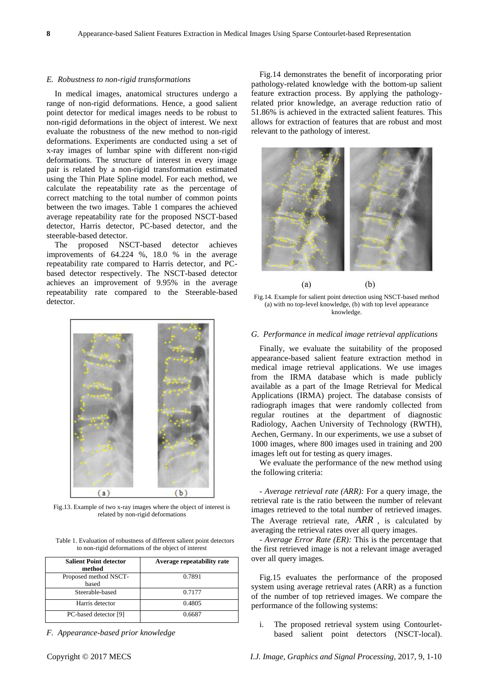#### *E. Robustness to non-rigid transformations*

In medical images, anatomical structures undergo a range of non-rigid deformations. Hence, a good salient point detector for medical images needs to be robust to non-rigid deformations in the object of interest. We next evaluate the robustness of the new method to non-rigid deformations. Experiments are conducted using a set of x-ray images of lumbar spine with different non-rigid deformations. The structure of interest in every image pair is related by a non-rigid transformation estimated using the Thin Plate Spline model. For each method, we calculate the repeatability rate as the percentage of correct matching to the total number of common points between the two images. Table 1 compares the achieved average repeatability rate for the proposed NSCT-based detector, Harris detector, PC-based detector, and the steerable-based detector.

The proposed NSCT-based detector achieves improvements of 64.224 %, 18.0 % in the average repeatability rate compared to Harris detector, and PCbased detector respectively. The NSCT-based detector achieves an improvement of 9.95% in the average repeatability rate compared to the Steerable-based detector.



Fig.13. Example of two x-ray images where the object of interest is related by non-rigid deformations

Table 1. Evaluation of robustness of different salient point detectors to non-rigid deformations of the object of interest

| <b>Salient Point detector</b><br>method | Average repeatability rate |
|-----------------------------------------|----------------------------|
| Proposed method NSCT-<br>based          | 0.7891                     |
| Steerable-based                         | 0.7177                     |
| Harris detector                         | 0.4805                     |
| PC-based detector [9]                   | 0.6687                     |

*F. Appearance-based prior knowledge*

Fig.14 demonstrates the benefit of incorporating prior pathology-related knowledge with the bottom-up salient feature extraction process. By applying the pathologyrelated prior knowledge, an average reduction ratio of 51.86% is achieved in the extracted salient features. This allows for extraction of features that are robust and most relevant to the pathology of interest.





Fig.14. Example for salient point detection using NSCT-based method (a) with no top-level knowledge, (b) with top level appearance knowledge.

## *G. Performance in medical image retrieval applications*

Finally, we evaluate the suitability of the proposed appearance-based salient feature extraction method in medical image retrieval applications. We use images from the IRMA database which is made publicly available as a part of the Image Retrieval for Medical Applications (IRMA) project. The database consists of radiograph images that were randomly collected from regular routines at the department of diagnostic Radiology, Aachen University of Technology (RWTH), Aechen, Germany. In our experiments, we use a subset of 1000 images, where 800 images used in training and 200 images left out for testing as query images.

We evaluate the performance of the new method using the following criteria:

- *Average retrieval rate (ARR):* For a query image, the retrieval rate is the ratio between the number of relevant images retrieved to the total number of retrieved images. The Average retrieval rate, *ARR* , is calculated by averaging the retrieval rates over all query images.

*- Average Error Rate (ER):* This is the percentage that the first retrieved image is not a relevant image averaged over all query images.

Fig.15 evaluates the performance of the proposed system using average retrieval rates (ARR) as a function of the number of top retrieved images. We compare the performance of the following systems:

i. The proposed retrieval system using Contourletbased salient point detectors (NSCT-local).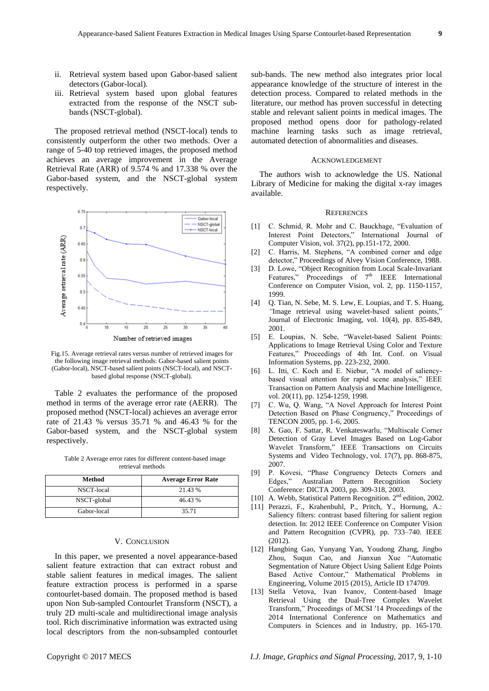- ii. Retrieval system based upon Gabor-based salient detectors (Gabor-local).
- iii. Retrieval system based upon global features extracted from the response of the NSCT subbands (NSCT-global).

The proposed retrieval method (NSCT-local) tends to consistently outperform the other two methods. Over a range of 5-40 top retrieved images, the proposed method achieves an average improvement in the Average Retrieval Rate (ARR) of 9.574 % and 17.338 % over the Gabor-based system, and the NSCT-global system respectively.



Fig.15. Average retrieval rates versus number of retrieved images for the following image retrieval methods: Gabor-based salient points (Gabor-local), NSCT-based salient points (NSCT-local), and NSCTbased global response (NSCT-global).

Table 2 evaluates the performance of the proposed method in terms of the average error rate (AERR). The proposed method (NSCT-local) achieves an average error rate of 21.43 % versus 35.71 % and 46.43 % for the Gabor-based system, and the NSCT-global system respectively.

Table 2 Average error rates for different content-based image retrieval methods

| Method      | <b>Average Error Rate</b> |
|-------------|---------------------------|
| NSCT-local  | 21.43 %                   |
| NSCT-global | 46.43 %                   |
| Gabor-local | 35.71                     |

#### V. CONCLUSION

In this paper, we presented a novel appearance-based salient feature extraction that can extract robust and stable salient features in medical images. The salient feature extraction process is performed in a sparse contourlet-based domain. The proposed method is based upon Non Sub-sampled Contourlet Transform (NSCT), a truly 2D multi-scale and multidirectional image analysis tool. Rich discriminative information was extracted using local descriptors from the non-subsampled contourlet sub-bands. The new method also integrates prior local appearance knowledge of the structure of interest in the detection process. Compared to related methods in the literature, our method has proven successful in detecting stable and relevant salient points in medical images. The proposed method opens door for pathology-related machine learning tasks such as image retrieval, automated detection of abnormalities and diseases.

#### ACKNOWLEDGEMENT

The authors wish to acknowledge the US. National Library of Medicine for making the digital x-ray images available.

#### **REFERENCES**

- [1] C. Schmid, R. Mohr and C. Bauckhage, "Evaluation of Interest Point Detectors," International Journal of Computer Vision, vol. 37(2), pp.151-172, 2000.
- [2] C. Harris, M. Stephens, "A combined corner and edge detector," Proceedings of Alvey Vision Conference, 1988.
- [3] D. Lowe, "Object Recognition from Local Scale-Invariant Features," Proceedings of  $7<sup>th</sup>$  IEEE International Conference on Computer Vision, vol. 2, pp. 1150-1157, 1999.
- [4] Q. Tian, N. Sebe, M. S. Lew, E. Loupias, and T. S. Huang*, "*Image retrieval using wavelet*-*based salient points," Journal of Electronic Imaging, vol. 10(4), pp. 835-849, 2001.
- [5] E. Loupias, N. Sebe, "Wavelet-based Salient Points: Applications to Image Retrieval Using Color and Texture Features," Proceedings of 4th Int. Conf. on Visual Information Systems, pp. 223-232, 2000.
- [6] L. Itti, C. Koch and E. Niebur, "A model of saliencybased visual attention for rapid scene analysis," IEEE Transaction on Pattern Analysis and Machine Intelligence, vol. 20(11), pp. 1254-1259, 1998.
- [7] C. Wu, Q. Wang, "A Novel Approach for Interest Point Detection Based on Phase Congruency," Proceedings of TENCON 2005, pp. 1-6, 2005.
- [8] X. Gao, F. [Sattar,](http://www.informatik.uni-trier.de/~ley/db/indices/a-tree/s/Sattar:Farook.html) [R. Venkateswarlu,](http://www.informatik.uni-trier.de/~ley/db/indices/a-tree/v/Venkateswarlu:Ronda.html) "Multiscale Corner Detection of Gray Level Images Based on Log-Gabor Wavelet Transform," [IEEE Transactions on Circuits](http://www.informatik.uni-trier.de/~ley/db/journals/tcsv/tcsv17.html#GaoSV07)  [Systems and Video Technology, vol. 17\(](http://www.informatik.uni-trier.de/~ley/db/journals/tcsv/tcsv17.html#GaoSV07)7), pp. 868-875, 2007.
- [9] P. Kovesi, "Phase Congruency Detects Corners and Edges," Australian Pattern Recognition Society Conference: DICTA 2003, pp. 309-318, 2003.
- [10] A. Webb, Statistical Pattern Recognition. 2<sup>nd</sup> edition, 2002.
- [11] Perazzi, F., Krahenbuhl, P., Pritch, Y., Hornung, A.: Saliency filters: contrast based filtering for salient region detection. In: 2012 IEEE Conference on Computer Vision and Pattern Recognition (CVPR), pp. 733–740. IEEE (2012).
- [12] Hangbing Gao, Yunyang Yan, Youdong Zhang, Jingbo Zhou, Suqun Cao, and Jianxun Xue "Automatic Segmentation of Nature Object Using Salient Edge Points Based Active Contour," Mathematical Problems in Engineering, Volume 2015 (2015), Article ID 174709.
- [13] Stella Vetova, Ivan Ivanov, Content-based Image Retrieval Using the Dual-Tree Complex Wavelet Transform," Proceedings of MCSI '14 Proceedings of the 2014 International Conference on Mathematics and Computers in Sciences and in Industry, pp. 165-170.